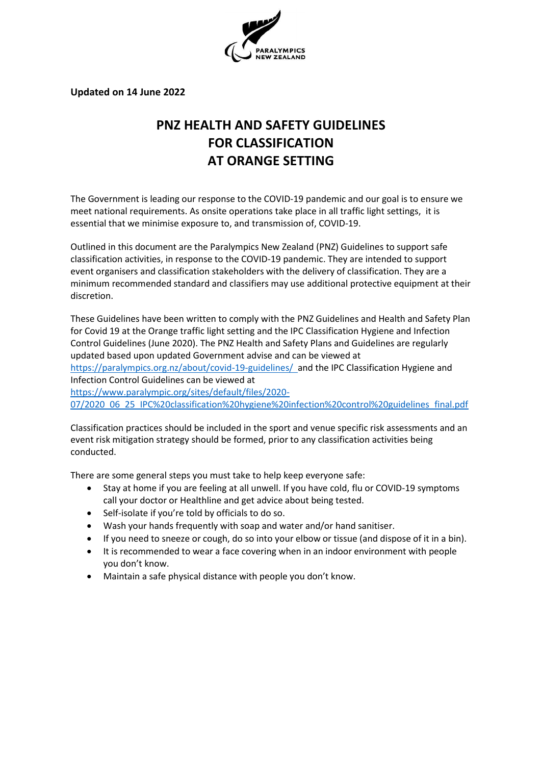

**Updated on 14 June 2022**

# **PNZ HEALTH AND SAFETY GUIDELINES FOR CLASSIFICATION AT ORANGE SETTING**

The Government is leading our response to the COVID-19 pandemic and our goal is to ensure we meet national requirements. As onsite operations take place in all traffic light settings, it is essential that we minimise exposure to, and transmission of, COVID-19.

Outlined in this document are the Paralympics New Zealand (PNZ) Guidelines to support safe classification activities, in response to the COVID-19 pandemic. They are intended to support event organisers and classification stakeholders with the delivery of classification. They are a minimum recommended standard and classifiers may use additional protective equipment at their discretion.

These Guidelines have been written to comply with the PNZ Guidelines and Health and Safety Plan for Covid 19 at the Orange traffic light setting and the IPC Classification Hygiene and Infection Control Guidelines (June 2020). The PNZ Health and Safety Plans and Guidelines are regularly updated based upon updated Government advise and can be viewed at <https://paralympics.org.nz/about/covid-19-guidelines/>and the IPC Classification Hygiene and Infection Control Guidelines can be viewed at [https://www.paralympic.org/sites/default/files/2020-](https://www.paralympic.org/sites/default/files/2020-07/2020_06_25_IPC%20classification%20hygiene%20infection%20control%20guidelines_final.pdf) [07/2020\\_06\\_25\\_IPC%20classification%20hygiene%20infection%20control%20guidelines\\_final.pdf](https://www.paralympic.org/sites/default/files/2020-07/2020_06_25_IPC%20classification%20hygiene%20infection%20control%20guidelines_final.pdf)

Classification practices should be included in the sport and venue specific risk assessments and an event risk mitigation strategy should be formed, prior to any classification activities being conducted.

There are some general steps you must take to help keep everyone safe:

- Stay at home if you are feeling at all unwell. If you have cold, flu or COVID-19 symptoms call your doctor or Healthline and get advice about being tested.
- Self-isolate if you're told by officials to do so.
- Wash your hands frequently with soap and water and/or hand sanitiser.
- If you need to sneeze or cough, do so into your elbow or tissue (and dispose of it in a bin).
- It is recommended to wear a face covering when in an indoor environment with people you don't know.
- Maintain a safe physical distance with people you don't know.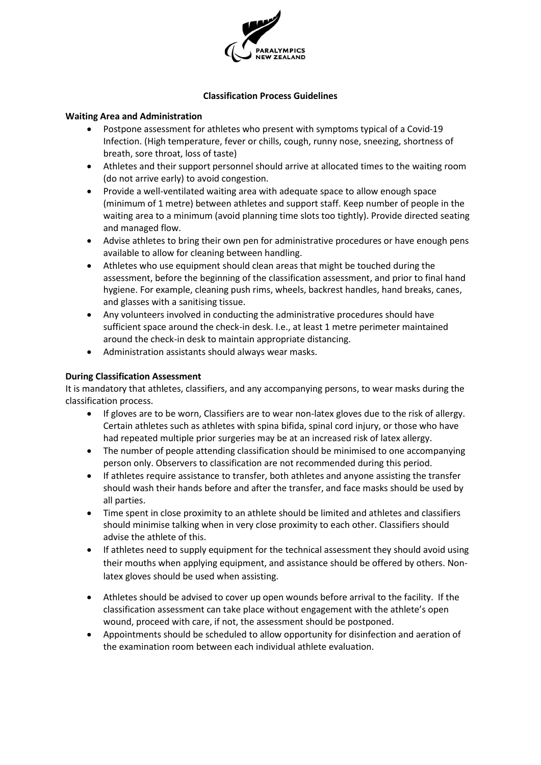

#### **Classification Process Guidelines**

#### **Waiting Area and Administration**

- Postpone assessment for athletes who present with symptoms typical of a Covid-19 Infection. (High temperature, fever or chills, cough, runny nose, sneezing, shortness of breath, sore throat, loss of taste)
- Athletes and their support personnel should arrive at allocated times to the waiting room (do not arrive early) to avoid congestion.
- Provide a well-ventilated waiting area with adequate space to allow enough space (minimum of 1 metre) between athletes and support staff. Keep number of people in the waiting area to a minimum (avoid planning time slots too tightly). Provide directed seating and managed flow.
- Advise athletes to bring their own pen for administrative procedures or have enough pens available to allow for cleaning between handling.
- Athletes who use equipment should clean areas that might be touched during the assessment, before the beginning of the classification assessment, and prior to final hand hygiene. For example, cleaning push rims, wheels, backrest handles, hand breaks, canes, and glasses with a sanitising tissue.
- Any volunteers involved in conducting the administrative procedures should have sufficient space around the check-in desk. I.e., at least 1 metre perimeter maintained around the check-in desk to maintain appropriate distancing.
- Administration assistants should always wear masks.

### **During Classification Assessment**

It is mandatory that athletes, classifiers, and any accompanying persons, to wear masks during the classification process.

- If gloves are to be worn, Classifiers are to wear non-latex gloves due to the risk of allergy. Certain athletes such as athletes with spina bifida, spinal cord injury, or those who have had repeated multiple prior surgeries may be at an increased risk of latex allergy.
- The number of people attending classification should be minimised to one accompanying person only. Observers to classification are not recommended during this period.
- If athletes require assistance to transfer, both athletes and anyone assisting the transfer should wash their hands before and after the transfer, and face masks should be used by all parties.
- Time spent in close proximity to an athlete should be limited and athletes and classifiers should minimise talking when in very close proximity to each other. Classifiers should advise the athlete of this.
- If athletes need to supply equipment for the technical assessment they should avoid using their mouths when applying equipment, and assistance should be offered by others. Nonlatex gloves should be used when assisting.
- Athletes should be advised to cover up open wounds before arrival to the facility. If the classification assessment can take place without engagement with the athlete's open wound, proceed with care, if not, the assessment should be postponed.
- Appointments should be scheduled to allow opportunity for disinfection and aeration of the examination room between each individual athlete evaluation.